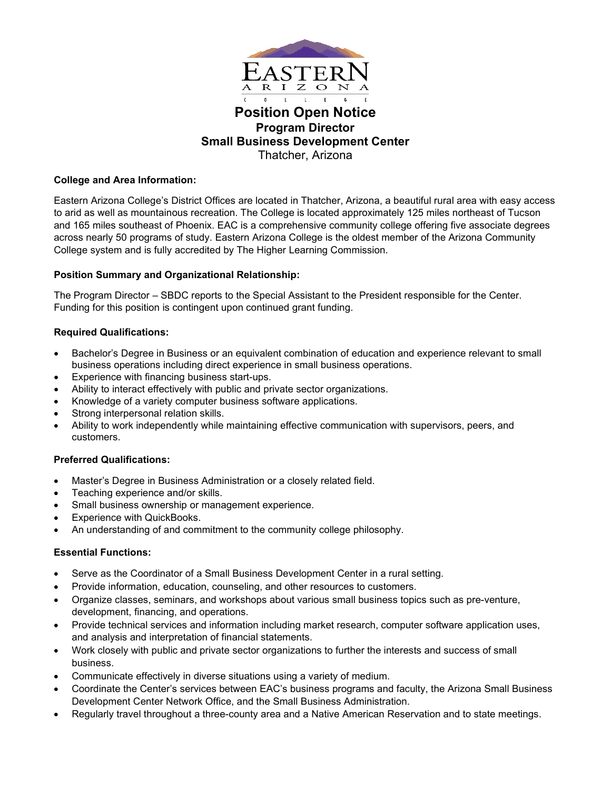

# **Position Open Notice Program Director Small Business Development Center** Thatcher, Arizona

# **College and Area Information:**

Eastern Arizona College's District Offices are located in Thatcher, Arizona, a beautiful rural area with easy access to arid as well as mountainous recreation. The College is located approximately 125 miles northeast of Tucson and 165 miles southeast of Phoenix. EAC is a comprehensive community college offering five associate degrees across nearly 50 programs of study. Eastern Arizona College is the oldest member of the Arizona Community College system and is fully accredited by The Higher Learning Commission.

# **Position Summary and Organizational Relationship:**

The Program Director – SBDC reports to the Special Assistant to the President responsible for the Center. Funding for this position is contingent upon continued grant funding.

# **Required Qualifications:**

- Bachelor's Degree in Business or an equivalent combination of education and experience relevant to small business operations including direct experience in small business operations.
- Experience with financing business start-ups.
- Ability to interact effectively with public and private sector organizations.
- Knowledge of a variety computer business software applications.
- Strong interpersonal relation skills.
- Ability to work independently while maintaining effective communication with supervisors, peers, and customers.

#### **Preferred Qualifications:**

- Master's Degree in Business Administration or a closely related field.
- Teaching experience and/or skills.
- Small business ownership or management experience.
- Experience with QuickBooks.
- An understanding of and commitment to the community college philosophy.

#### **Essential Functions:**

- Serve as the Coordinator of a Small Business Development Center in a rural setting.
- Provide information, education, counseling, and other resources to customers.
- Organize classes, seminars, and workshops about various small business topics such as pre-venture, development, financing, and operations.
- Provide technical services and information including market research, computer software application uses, and analysis and interpretation of financial statements.
- Work closely with public and private sector organizations to further the interests and success of small business.
- Communicate effectively in diverse situations using a variety of medium.
- Coordinate the Center's services between EAC's business programs and faculty, the Arizona Small Business Development Center Network Office, and the Small Business Administration.
- Regularly travel throughout a three-county area and a Native American Reservation and to state meetings.